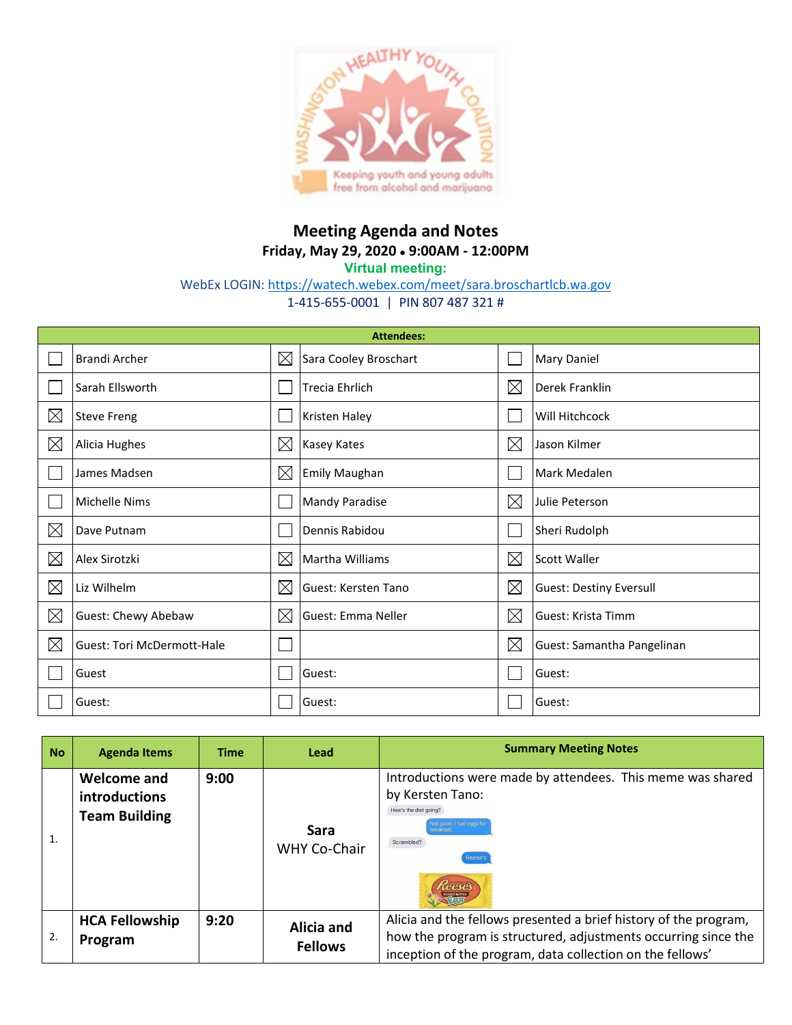

## **Meeting Agenda and Notes Friday, May 29, 2020** • **9:00AM - 12:00PM**

**Virtual meeting:**

WebEx LOGIN:<https://watech.webex.com/meet/sara.broschartlcb.wa.gov>

1-415-655-0001 | PIN 807 487 321 #

| <b>Attendees:</b> |                                   |             |                           |             |                                |  |
|-------------------|-----------------------------------|-------------|---------------------------|-------------|--------------------------------|--|
|                   | Brandi Archer                     | $\boxtimes$ | Sara Cooley Broschart     |             | Mary Daniel                    |  |
|                   | Sarah Ellsworth                   |             | Trecia Ehrlich            | $\boxtimes$ | Derek Franklin                 |  |
| $\boxtimes$       | <b>Steve Freng</b>                |             | <b>Kristen Haley</b>      |             | Will Hitchcock                 |  |
| $\boxtimes$       | Alicia Hughes                     | $\times$    | <b>Kasey Kates</b>        | $\boxtimes$ | Jason Kilmer                   |  |
|                   | James Madsen                      | $\boxtimes$ | Emily Maughan             |             | Mark Medalen                   |  |
|                   | <b>Michelle Nims</b>              |             | <b>Mandy Paradise</b>     | $\boxtimes$ | Julie Peterson                 |  |
| $\boxtimes$       | Dave Putnam                       |             | Dennis Rabidou            |             | Sheri Rudolph                  |  |
| ⊠                 | Alex Sirotzki                     | $\times$    | Martha Williams           | $\boxtimes$ | Scott Waller                   |  |
| $\boxtimes$       | Liz Wilhelm                       | $\times$    | Guest: Kersten Tano       | $\boxtimes$ | <b>Guest: Destiny Eversull</b> |  |
| $\boxtimes$       | Guest: Chewy Abebaw               | $\boxtimes$ | <b>Guest: Emma Neller</b> | $\boxtimes$ | Guest: Krista Timm             |  |
| $\boxtimes$       | <b>Guest: Tori McDermott-Hale</b> |             |                           | $\boxtimes$ | Guest: Samantha Pangelinan     |  |
|                   | Guest                             |             | Guest:                    |             | Guest:                         |  |
|                   | Guest:                            |             | Guest:                    |             | Guest:                         |  |

| <b>No</b> | <b>Agenda Items</b>                                  | <b>Time</b> | Lead                               | <b>Summary Meeting Notes</b>                                                                                                                                                                    |
|-----------|------------------------------------------------------|-------------|------------------------------------|-------------------------------------------------------------------------------------------------------------------------------------------------------------------------------------------------|
|           | Welcome and<br>introductions<br><b>Team Building</b> | 9:00        | <b>Sara</b><br><b>WHY Co-Chair</b> | Introductions were made by attendees. This meme was shared<br>by Kersten Tano:<br>How's the diet going?<br>Not good. I had eggs for<br>reakfast<br>Scrambled?<br>Reese's                        |
| 2.        | <b>HCA Fellowship</b><br>Program                     | 9:20        | Alicia and<br><b>Fellows</b>       | Alicia and the fellows presented a brief history of the program,<br>how the program is structured, adjustments occurring since the<br>inception of the program, data collection on the fellows' |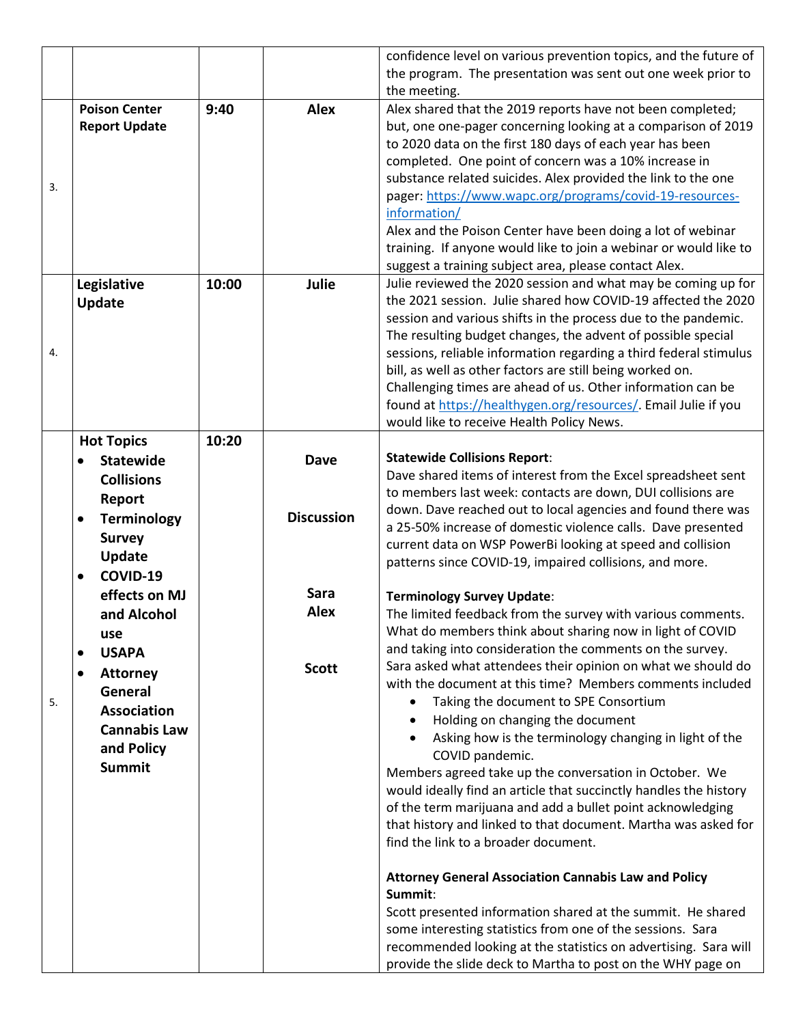|    |                              |       |                   | confidence level on various prevention topics, and the future of  |
|----|------------------------------|-------|-------------------|-------------------------------------------------------------------|
|    |                              |       |                   | the program. The presentation was sent out one week prior to      |
|    |                              |       |                   | the meeting.                                                      |
|    | <b>Poison Center</b>         | 9:40  | <b>Alex</b>       | Alex shared that the 2019 reports have not been completed;        |
|    | <b>Report Update</b>         |       |                   | but, one one-pager concerning looking at a comparison of 2019     |
|    |                              |       |                   | to 2020 data on the first 180 days of each year has been          |
| 3. |                              |       |                   | completed. One point of concern was a 10% increase in             |
|    |                              |       |                   | substance related suicides. Alex provided the link to the one     |
|    |                              |       |                   | pager: https://www.wapc.org/programs/covid-19-resources-          |
|    |                              |       |                   | information/                                                      |
|    |                              |       |                   | Alex and the Poison Center have been doing a lot of webinar       |
|    |                              |       |                   | training. If anyone would like to join a webinar or would like to |
|    |                              |       |                   | suggest a training subject area, please contact Alex.             |
|    | Legislative                  | 10:00 | Julie             | Julie reviewed the 2020 session and what may be coming up for     |
|    | Update                       |       |                   | the 2021 session. Julie shared how COVID-19 affected the 2020     |
|    |                              |       |                   | session and various shifts in the process due to the pandemic.    |
|    |                              |       |                   | The resulting budget changes, the advent of possible special      |
| 4. |                              |       |                   | sessions, reliable information regarding a third federal stimulus |
|    |                              |       |                   | bill, as well as other factors are still being worked on.         |
|    |                              |       |                   | Challenging times are ahead of us. Other information can be       |
|    |                              |       |                   | found at https://healthygen.org/resources/. Email Julie if you    |
|    |                              |       |                   | would like to receive Health Policy News.                         |
|    | <b>Hot Topics</b>            | 10:20 |                   |                                                                   |
|    | <b>Statewide</b>             |       | <b>Dave</b>       | <b>Statewide Collisions Report:</b>                               |
|    | <b>Collisions</b>            |       |                   | Dave shared items of interest from the Excel spreadsheet sent     |
|    | Report                       |       |                   | to members last week: contacts are down, DUI collisions are       |
|    | <b>Terminology</b>           |       | <b>Discussion</b> | down. Dave reached out to local agencies and found there was      |
|    | <b>Survey</b>                |       |                   | a 25-50% increase of domestic violence calls. Dave presented      |
|    | <b>Update</b>                |       |                   | current data on WSP PowerBi looking at speed and collision        |
|    | COVID-19                     |       |                   | patterns since COVID-19, impaired collisions, and more.           |
|    | effects on MJ                |       | <b>Sara</b>       | <b>Terminology Survey Update:</b>                                 |
|    | and Alcohol                  |       | <b>Alex</b>       | The limited feedback from the survey with various comments.       |
|    |                              |       |                   | What do members think about sharing now in light of COVID         |
|    | use                          |       |                   | and taking into consideration the comments on the survey.         |
|    | <b>USAPA</b>                 |       |                   | Sara asked what attendees their opinion on what we should do      |
|    | <b>Attorney</b><br>$\bullet$ |       | <b>Scott</b>      | with the document at this time? Members comments included         |
| 5. | General                      |       |                   | Taking the document to SPE Consortium<br>$\bullet$                |
|    | <b>Association</b>           |       |                   | Holding on changing the document<br>$\bullet$                     |
|    | <b>Cannabis Law</b>          |       |                   | Asking how is the terminology changing in light of the            |
|    | and Policy                   |       |                   | COVID pandemic.                                                   |
|    | <b>Summit</b>                |       |                   | Members agreed take up the conversation in October. We            |
|    |                              |       |                   | would ideally find an article that succinctly handles the history |
|    |                              |       |                   | of the term marijuana and add a bullet point acknowledging        |
|    |                              |       |                   | that history and linked to that document. Martha was asked for    |
|    |                              |       |                   | find the link to a broader document.                              |
|    |                              |       |                   | <b>Attorney General Association Cannabis Law and Policy</b>       |
|    |                              |       |                   | Summit:                                                           |
|    |                              |       |                   | Scott presented information shared at the summit. He shared       |
|    |                              |       |                   | some interesting statistics from one of the sessions. Sara        |
|    |                              |       |                   | recommended looking at the statistics on advertising. Sara will   |
|    |                              |       |                   | provide the slide deck to Martha to post on the WHY page on       |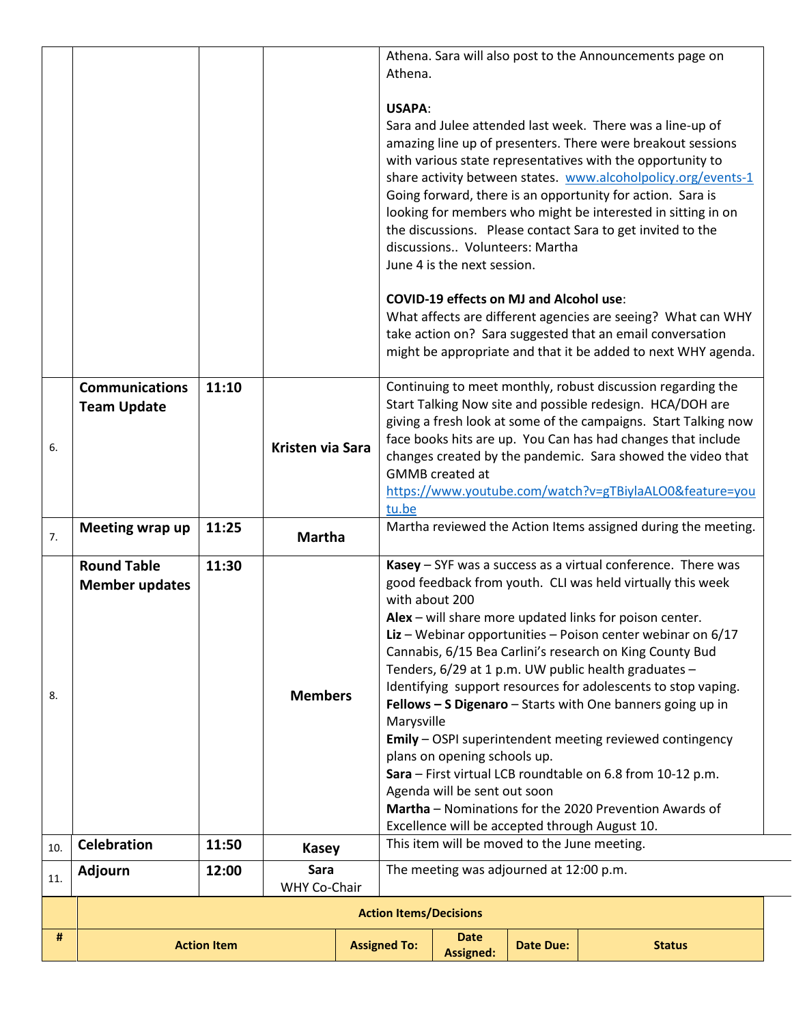| https://www.youtube.com/watch?v=gTBiylaALO0&feature=you<br>tu.be<br>Martha reviewed the Action Items assigned during the meeting.<br>11:25<br>Meeting wrap up<br><b>Martha</b><br>7.<br>Kasey - SYF was a success as a virtual conference. There was<br><b>Round Table</b><br>11:30<br>good feedback from youth. CLI was held virtually this week<br><b>Member updates</b><br>with about 200<br>Alex - will share more updated links for poison center.<br>Liz – Webinar opportunities – Poison center webinar on $6/17$<br>Cannabis, 6/15 Bea Carlini's research on King County Bud<br>Tenders, 6/29 at 1 p.m. UW public health graduates -<br>Identifying support resources for adolescents to stop vaping.<br><b>Members</b><br>8.<br>Fellows - S Digenaro - Starts with One banners going up in<br>Marysville<br>Emily - OSPI superintendent meeting reviewed contingency<br>plans on opening schools up.<br>Sara - First virtual LCB roundtable on 6.8 from 10-12 p.m.<br>Agenda will be sent out soon<br>Martha - Nominations for the 2020 Prevention Awards of<br>Excellence will be accepted through August 10.<br>This item will be moved to the June meeting.<br><b>Celebration</b><br>11:50<br>10.<br><b>Kasey</b><br>Sara<br>The meeting was adjourned at 12:00 p.m.<br><b>Adjourn</b><br>12:00<br>11.<br>WHY Co-Chair<br><b>Action Items/Decisions</b> |
|---------------------------------------------------------------------------------------------------------------------------------------------------------------------------------------------------------------------------------------------------------------------------------------------------------------------------------------------------------------------------------------------------------------------------------------------------------------------------------------------------------------------------------------------------------------------------------------------------------------------------------------------------------------------------------------------------------------------------------------------------------------------------------------------------------------------------------------------------------------------------------------------------------------------------------------------------------------------------------------------------------------------------------------------------------------------------------------------------------------------------------------------------------------------------------------------------------------------------------------------------------------------------------------------------------------------------------------------------------------------|
|                                                                                                                                                                                                                                                                                                                                                                                                                                                                                                                                                                                                                                                                                                                                                                                                                                                                                                                                                                                                                                                                                                                                                                                                                                                                                                                                                                     |
|                                                                                                                                                                                                                                                                                                                                                                                                                                                                                                                                                                                                                                                                                                                                                                                                                                                                                                                                                                                                                                                                                                                                                                                                                                                                                                                                                                     |
|                                                                                                                                                                                                                                                                                                                                                                                                                                                                                                                                                                                                                                                                                                                                                                                                                                                                                                                                                                                                                                                                                                                                                                                                                                                                                                                                                                     |
|                                                                                                                                                                                                                                                                                                                                                                                                                                                                                                                                                                                                                                                                                                                                                                                                                                                                                                                                                                                                                                                                                                                                                                                                                                                                                                                                                                     |
|                                                                                                                                                                                                                                                                                                                                                                                                                                                                                                                                                                                                                                                                                                                                                                                                                                                                                                                                                                                                                                                                                                                                                                                                                                                                                                                                                                     |
|                                                                                                                                                                                                                                                                                                                                                                                                                                                                                                                                                                                                                                                                                                                                                                                                                                                                                                                                                                                                                                                                                                                                                                                                                                                                                                                                                                     |
|                                                                                                                                                                                                                                                                                                                                                                                                                                                                                                                                                                                                                                                                                                                                                                                                                                                                                                                                                                                                                                                                                                                                                                                                                                                                                                                                                                     |
|                                                                                                                                                                                                                                                                                                                                                                                                                                                                                                                                                                                                                                                                                                                                                                                                                                                                                                                                                                                                                                                                                                                                                                                                                                                                                                                                                                     |
| Continuing to meet monthly, robust discussion regarding the<br><b>Communications</b><br>11:10<br>Start Talking Now site and possible redesign. HCA/DOH are<br><b>Team Update</b><br>giving a fresh look at some of the campaigns. Start Talking now<br>face books hits are up. You Can has had changes that include<br><b>Kristen via Sara</b><br>6.<br>changes created by the pandemic. Sara showed the video that<br><b>GMMB</b> created at                                                                                                                                                                                                                                                                                                                                                                                                                                                                                                                                                                                                                                                                                                                                                                                                                                                                                                                       |
| Athena. Sara will also post to the Announcements page on<br>Athena.<br><b>USAPA:</b><br>Sara and Julee attended last week. There was a line-up of<br>amazing line up of presenters. There were breakout sessions<br>with various state representatives with the opportunity to<br>share activity between states. www.alcoholpolicy.org/events-1<br>Going forward, there is an opportunity for action. Sara is<br>looking for members who might be interested in sitting in on<br>the discussions. Please contact Sara to get invited to the<br>discussions Volunteers: Martha<br>June 4 is the next session.<br><b>COVID-19 effects on MJ and Alcohol use:</b><br>What affects are different agencies are seeing? What can WHY<br>take action on? Sara suggested that an email conversation<br>might be appropriate and that it be added to next WHY agenda.                                                                                                                                                                                                                                                                                                                                                                                                                                                                                                        |